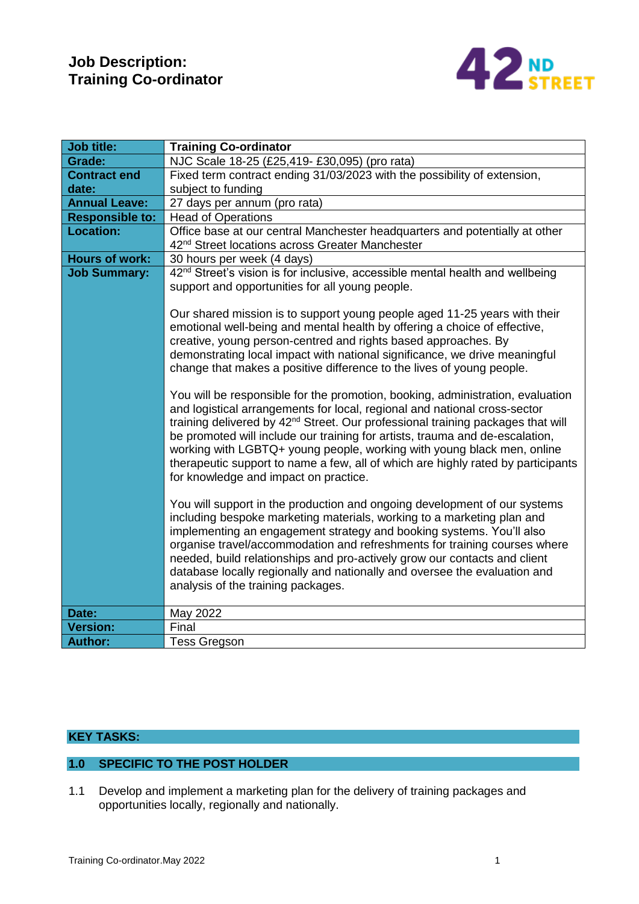## **Job Description: Training Co-ordinator**



| <b>Job title:</b>      | <b>Training Co-ordinator</b>                                                                                                                                                                                                                                                                                                                                                                                                                                                                                                                                                                                                                                                                                                                                                                                                                                                                                                                                                                                                                                                                                                                                                                                                                                                                                                                                                                               |  |  |  |  |  |  |
|------------------------|------------------------------------------------------------------------------------------------------------------------------------------------------------------------------------------------------------------------------------------------------------------------------------------------------------------------------------------------------------------------------------------------------------------------------------------------------------------------------------------------------------------------------------------------------------------------------------------------------------------------------------------------------------------------------------------------------------------------------------------------------------------------------------------------------------------------------------------------------------------------------------------------------------------------------------------------------------------------------------------------------------------------------------------------------------------------------------------------------------------------------------------------------------------------------------------------------------------------------------------------------------------------------------------------------------------------------------------------------------------------------------------------------------|--|--|--|--|--|--|
| Grade:                 | NJC Scale 18-25 (£25,419- £30,095) (pro rata)                                                                                                                                                                                                                                                                                                                                                                                                                                                                                                                                                                                                                                                                                                                                                                                                                                                                                                                                                                                                                                                                                                                                                                                                                                                                                                                                                              |  |  |  |  |  |  |
| <b>Contract end</b>    | Fixed term contract ending 31/03/2023 with the possibility of extension,                                                                                                                                                                                                                                                                                                                                                                                                                                                                                                                                                                                                                                                                                                                                                                                                                                                                                                                                                                                                                                                                                                                                                                                                                                                                                                                                   |  |  |  |  |  |  |
| date:                  | subject to funding                                                                                                                                                                                                                                                                                                                                                                                                                                                                                                                                                                                                                                                                                                                                                                                                                                                                                                                                                                                                                                                                                                                                                                                                                                                                                                                                                                                         |  |  |  |  |  |  |
| <b>Annual Leave:</b>   | 27 days per annum (pro rata)                                                                                                                                                                                                                                                                                                                                                                                                                                                                                                                                                                                                                                                                                                                                                                                                                                                                                                                                                                                                                                                                                                                                                                                                                                                                                                                                                                               |  |  |  |  |  |  |
| <b>Responsible to:</b> | <b>Head of Operations</b>                                                                                                                                                                                                                                                                                                                                                                                                                                                                                                                                                                                                                                                                                                                                                                                                                                                                                                                                                                                                                                                                                                                                                                                                                                                                                                                                                                                  |  |  |  |  |  |  |
| <b>Location:</b>       | Office base at our central Manchester headquarters and potentially at other                                                                                                                                                                                                                                                                                                                                                                                                                                                                                                                                                                                                                                                                                                                                                                                                                                                                                                                                                                                                                                                                                                                                                                                                                                                                                                                                |  |  |  |  |  |  |
|                        | 42 <sup>nd</sup> Street locations across Greater Manchester                                                                                                                                                                                                                                                                                                                                                                                                                                                                                                                                                                                                                                                                                                                                                                                                                                                                                                                                                                                                                                                                                                                                                                                                                                                                                                                                                |  |  |  |  |  |  |
| <b>Hours of work:</b>  | 30 hours per week (4 days)                                                                                                                                                                                                                                                                                                                                                                                                                                                                                                                                                                                                                                                                                                                                                                                                                                                                                                                                                                                                                                                                                                                                                                                                                                                                                                                                                                                 |  |  |  |  |  |  |
| <b>Job Summary:</b>    | 42 <sup>nd</sup> Street's vision is for inclusive, accessible mental health and wellbeing                                                                                                                                                                                                                                                                                                                                                                                                                                                                                                                                                                                                                                                                                                                                                                                                                                                                                                                                                                                                                                                                                                                                                                                                                                                                                                                  |  |  |  |  |  |  |
|                        | support and opportunities for all young people.                                                                                                                                                                                                                                                                                                                                                                                                                                                                                                                                                                                                                                                                                                                                                                                                                                                                                                                                                                                                                                                                                                                                                                                                                                                                                                                                                            |  |  |  |  |  |  |
|                        | Our shared mission is to support young people aged 11-25 years with their<br>emotional well-being and mental health by offering a choice of effective,<br>creative, young person-centred and rights based approaches. By<br>demonstrating local impact with national significance, we drive meaningful<br>change that makes a positive difference to the lives of young people.<br>You will be responsible for the promotion, booking, administration, evaluation<br>and logistical arrangements for local, regional and national cross-sector<br>training delivered by 42 <sup>nd</sup> Street. Our professional training packages that will<br>be promoted will include our training for artists, trauma and de-escalation,<br>working with LGBTQ+ young people, working with young black men, online<br>therapeutic support to name a few, all of which are highly rated by participants<br>for knowledge and impact on practice.<br>You will support in the production and ongoing development of our systems<br>including bespoke marketing materials, working to a marketing plan and<br>implementing an engagement strategy and booking systems. You'll also<br>organise travel/accommodation and refreshments for training courses where<br>needed, build relationships and pro-actively grow our contacts and client<br>database locally regionally and nationally and oversee the evaluation and |  |  |  |  |  |  |
|                        | analysis of the training packages.                                                                                                                                                                                                                                                                                                                                                                                                                                                                                                                                                                                                                                                                                                                                                                                                                                                                                                                                                                                                                                                                                                                                                                                                                                                                                                                                                                         |  |  |  |  |  |  |
| Date:                  | May 2022                                                                                                                                                                                                                                                                                                                                                                                                                                                                                                                                                                                                                                                                                                                                                                                                                                                                                                                                                                                                                                                                                                                                                                                                                                                                                                                                                                                                   |  |  |  |  |  |  |
| <b>Version:</b>        | Final                                                                                                                                                                                                                                                                                                                                                                                                                                                                                                                                                                                                                                                                                                                                                                                                                                                                                                                                                                                                                                                                                                                                                                                                                                                                                                                                                                                                      |  |  |  |  |  |  |
| <b>Author:</b>         | <b>Tess Gregson</b>                                                                                                                                                                                                                                                                                                                                                                                                                                                                                                                                                                                                                                                                                                                                                                                                                                                                                                                                                                                                                                                                                                                                                                                                                                                                                                                                                                                        |  |  |  |  |  |  |

#### **KEY TASKS:**

### **1.0 SPECIFIC TO THE POST HOLDER**

1.1 Develop and implement a marketing plan for the delivery of training packages and opportunities locally, regionally and nationally.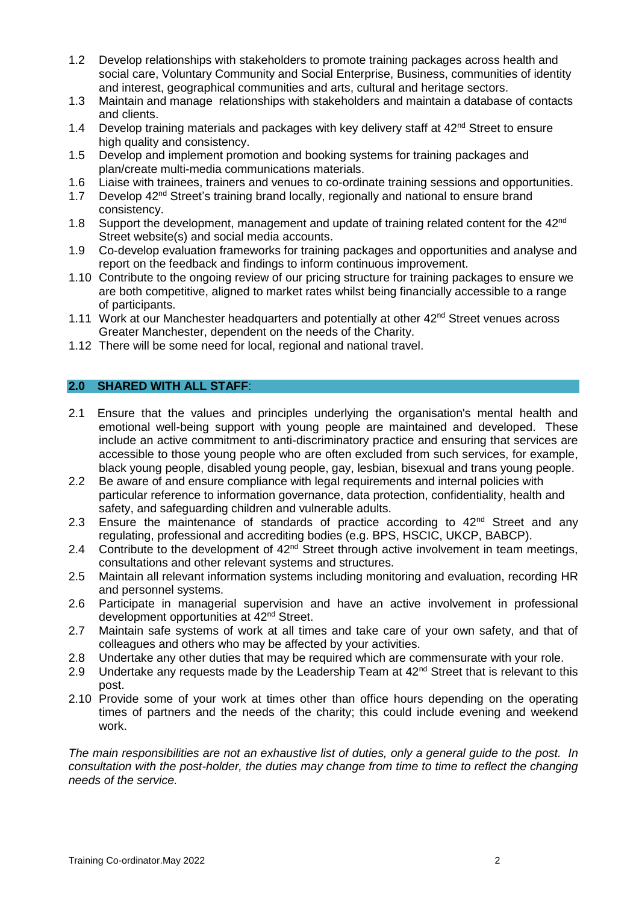- 1.2 Develop relationships with stakeholders to promote training packages across health and social care, Voluntary Community and Social Enterprise, Business, communities of identity and interest, geographical communities and arts, cultural and heritage sectors.
- 1.3 Maintain and manage relationships with stakeholders and maintain a database of contacts and clients.
- 1.4 Develop training materials and packages with key delivery staff at 42<sup>nd</sup> Street to ensure high quality and consistency.
- 1.5 Develop and implement promotion and booking systems for training packages and plan/create multi-media communications materials.
- 1.6 Liaise with trainees, trainers and venues to co-ordinate training sessions and opportunities.
- 1.7 Develop 42<sup>nd</sup> Street's training brand locally, regionally and national to ensure brand consistency.
- 1.8 Support the development, management and update of training related content for the 42<sup>nd</sup> Street website(s) and social media accounts.
- 1.9 Co-develop evaluation frameworks for training packages and opportunities and analyse and report on the feedback and findings to inform continuous improvement.
- 1.10 Contribute to the ongoing review of our pricing structure for training packages to ensure we are both competitive, aligned to market rates whilst being financially accessible to a range of participants.
- 1.11 Work at our Manchester headquarters and potentially at other 42<sup>nd</sup> Street venues across Greater Manchester, dependent on the needs of the Charity.
- 1.12 There will be some need for local, regional and national travel.

#### **2.0 SHARED WITH ALL STAFF**:

- 2.1 Ensure that the values and principles underlying the organisation's mental health and emotional well-being support with young people are maintained and developed. These include an active commitment to anti-discriminatory practice and ensuring that services are accessible to those young people who are often excluded from such services, for example, black young people, disabled young people, gay, lesbian, bisexual and trans young people.
- 2.2 Be aware of and ensure compliance with legal requirements and internal policies with particular reference to information governance, data protection, confidentiality, health and safety, and safeguarding children and vulnerable adults.
- 2.3 Ensure the maintenance of standards of practice according to  $42<sup>nd</sup>$  Street and any regulating, professional and accrediting bodies (e.g. BPS, HSCIC, UKCP, BABCP).
- 2.4 Contribute to the development of  $42<sup>nd</sup>$  Street through active involvement in team meetings, consultations and other relevant systems and structures.
- 2.5 Maintain all relevant information systems including monitoring and evaluation, recording HR and personnel systems.
- 2.6 Participate in managerial supervision and have an active involvement in professional development opportunities at 42nd Street.
- 2.7 Maintain safe systems of work at all times and take care of your own safety, and that of colleagues and others who may be affected by your activities.
- 2.8 Undertake any other duties that may be required which are commensurate with your role.
- 2.9 Undertake any requests made by the Leadership Team at  $42^{nd}$  Street that is relevant to this post.
- 2.10 Provide some of your work at times other than office hours depending on the operating times of partners and the needs of the charity; this could include evening and weekend work.

*The main responsibilities are not an exhaustive list of duties, only a general guide to the post. In consultation with the post-holder, the duties may change from time to time to reflect the changing needs of the service.*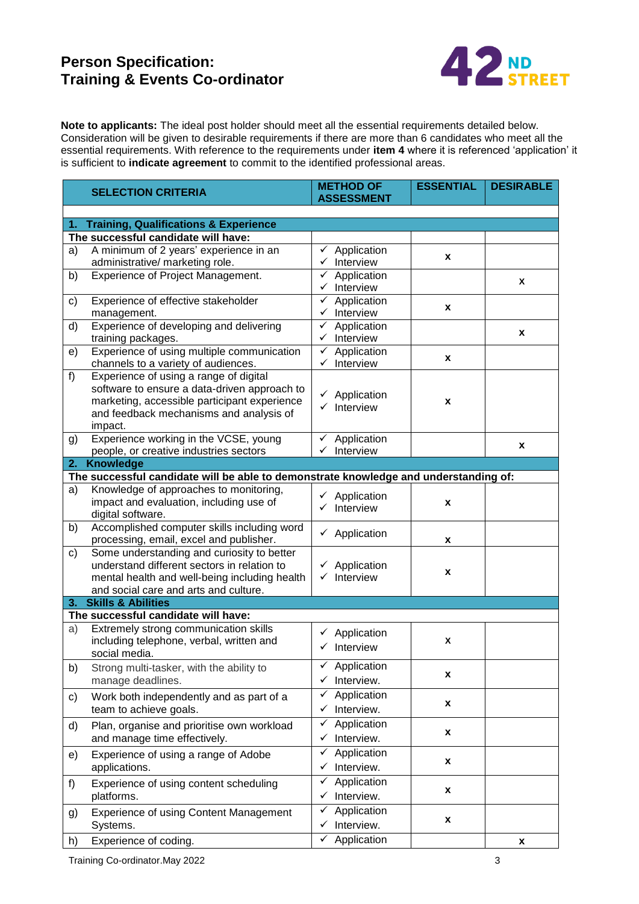# **Person Specification: Training & Events Co-ordinator**



**Note to applicants:** The ideal post holder should meet all the essential requirements detailed below. Consideration will be given to desirable requirements if there are more than 6 candidates who meet all the essential requirements. With reference to the requirements under **item 4** where it is referenced 'application' it is sufficient to **indicate agreement** to commit to the identified professional areas.

|               | <b>SELECTION CRITERIA</b>                                                            | <b>METHOD OF</b>                                   | <b>ESSENTIAL</b> | <b>DESIRABLE</b> |  |  |  |
|---------------|--------------------------------------------------------------------------------------|----------------------------------------------------|------------------|------------------|--|--|--|
|               |                                                                                      | <b>ASSESSMENT</b>                                  |                  |                  |  |  |  |
|               |                                                                                      |                                                    |                  |                  |  |  |  |
| 1.            | <b>Training, Qualifications &amp; Experience</b>                                     |                                                    |                  |                  |  |  |  |
|               | The successful candidate will have:                                                  |                                                    |                  |                  |  |  |  |
| a)            | A minimum of 2 years' experience in an                                               | $\checkmark$ Application                           | x                |                  |  |  |  |
|               | administrative/ marketing role.                                                      | $\checkmark$ Interview                             |                  |                  |  |  |  |
| b)            | Experience of Project Management.                                                    | $\checkmark$ Application                           |                  | X                |  |  |  |
|               |                                                                                      | $\checkmark$ Interview                             |                  |                  |  |  |  |
| c)            | Experience of effective stakeholder                                                  | $\checkmark$ Application                           | X                |                  |  |  |  |
|               | management.                                                                          | $\checkmark$ Interview                             |                  |                  |  |  |  |
| d)            | Experience of developing and delivering                                              | Application<br>✓                                   |                  | x                |  |  |  |
|               | training packages.                                                                   | $\checkmark$ Interview                             |                  |                  |  |  |  |
| e)            | Experience of using multiple communication                                           | $\checkmark$ Application                           | x                |                  |  |  |  |
|               | channels to a variety of audiences.                                                  | Interview<br>✓                                     |                  |                  |  |  |  |
| f)            | Experience of using a range of digital                                               |                                                    |                  |                  |  |  |  |
|               | software to ensure a data-driven approach to                                         | $\checkmark$ Application                           |                  |                  |  |  |  |
|               | marketing, accessible participant experience                                         | $\checkmark$ Interview                             | x                |                  |  |  |  |
|               | and feedback mechanisms and analysis of                                              |                                                    |                  |                  |  |  |  |
|               | impact.                                                                              |                                                    |                  |                  |  |  |  |
| g)            | Experience working in the VCSE, young                                                | Application<br>✓                                   |                  |                  |  |  |  |
|               | people, or creative industries sectors                                               | Interview                                          |                  | x                |  |  |  |
| 2.            | <b>Knowledge</b>                                                                     |                                                    |                  |                  |  |  |  |
|               | The successful candidate will be able to demonstrate knowledge and understanding of: |                                                    |                  |                  |  |  |  |
| a)            | Knowledge of approaches to monitoring,                                               |                                                    |                  |                  |  |  |  |
|               | impact and evaluation, including use of                                              | $\checkmark$ Application<br>$\checkmark$ Interview | X                |                  |  |  |  |
|               | digital software.                                                                    |                                                    |                  |                  |  |  |  |
| b)            | Accomplished computer skills including word                                          |                                                    |                  |                  |  |  |  |
|               | processing, email, excel and publisher.                                              | $\checkmark$ Application                           | x                |                  |  |  |  |
| $\mathsf{c})$ | Some understanding and curiosity to better                                           |                                                    |                  |                  |  |  |  |
|               | understand different sectors in relation to                                          | $\checkmark$ Application                           |                  |                  |  |  |  |
|               | mental health and well-being including health                                        | Interview<br>✓                                     | x                |                  |  |  |  |
|               | and social care and arts and culture.                                                |                                                    |                  |                  |  |  |  |
|               | 3. Skills & Abilities                                                                |                                                    |                  |                  |  |  |  |
|               | The successful candidate will have:                                                  |                                                    |                  |                  |  |  |  |
| a)            | Extremely strong communication skills                                                | $\checkmark$ Application                           |                  |                  |  |  |  |
|               | including telephone, verbal, written and                                             | $\checkmark$ Interview                             | X                |                  |  |  |  |
|               | social media.                                                                        |                                                    |                  |                  |  |  |  |
| b)            | Strong multi-tasker, with the ability to                                             | $\checkmark$ Application                           |                  |                  |  |  |  |
|               | manage deadlines.                                                                    | Interview.<br>$\checkmark$                         | x                |                  |  |  |  |
|               |                                                                                      | Application<br>✓                                   |                  |                  |  |  |  |
| c)            | Work both independently and as part of a                                             |                                                    | X                |                  |  |  |  |
|               | team to achieve goals.                                                               | $\checkmark$ Interview.                            |                  |                  |  |  |  |
| d)            | Plan, organise and prioritise own workload                                           | Application<br>✓                                   | X                |                  |  |  |  |
|               | and manage time effectively.                                                         | Interview.<br>✓                                    |                  |                  |  |  |  |
| e)            | Experience of using a range of Adobe                                                 | Application<br>✓                                   |                  |                  |  |  |  |
|               | applications.                                                                        | Interview.<br>✓                                    | x                |                  |  |  |  |
|               | Experience of using content scheduling                                               | Application<br>✓                                   | x                |                  |  |  |  |
| f)            | platforms.                                                                           | $\checkmark$ Interview.                            |                  |                  |  |  |  |
|               |                                                                                      |                                                    |                  |                  |  |  |  |
| g)            | <b>Experience of using Content Management</b>                                        | Application<br>✓                                   | X                |                  |  |  |  |
|               | Systems.                                                                             | $\checkmark$ Interview.                            |                  |                  |  |  |  |
| h)            | Experience of coding.                                                                | $\checkmark$ Application                           |                  | x                |  |  |  |

Training Co-ordinator.May 2022 3